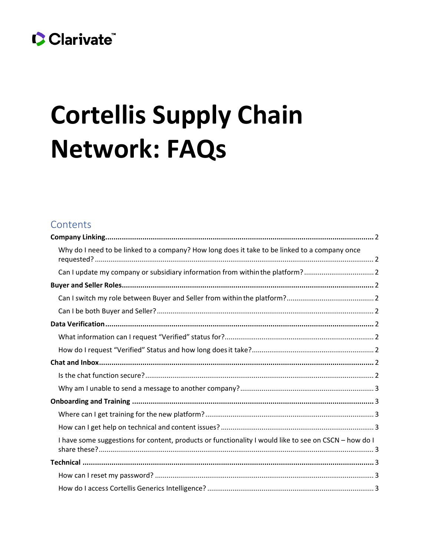## Clarivate

# <span id="page-0-0"></span>**Cortellis Supply Chain Network: FAQs**

## Contents

| Why do I need to be linked to a company? How long does it take to be linked to a company once         |
|-------------------------------------------------------------------------------------------------------|
| Can I update my company or subsidiary information from within the platform?2                          |
|                                                                                                       |
|                                                                                                       |
|                                                                                                       |
|                                                                                                       |
|                                                                                                       |
|                                                                                                       |
|                                                                                                       |
|                                                                                                       |
|                                                                                                       |
|                                                                                                       |
|                                                                                                       |
|                                                                                                       |
| I have some suggestions for content, products or functionality I would like to see on CSCN - how do I |
|                                                                                                       |
|                                                                                                       |
|                                                                                                       |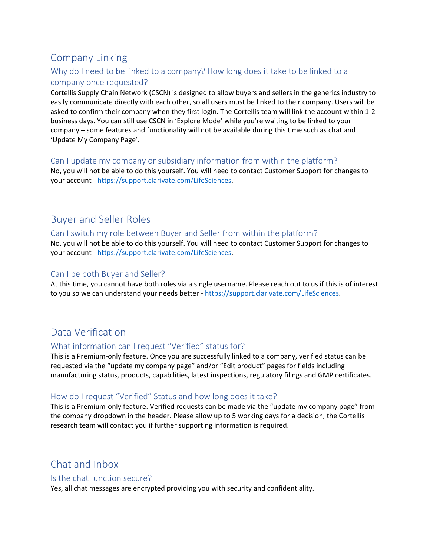## Company Linking

## <span id="page-1-0"></span>Why do I need to be linked to a company? How long does it take to be linked to a company once requested?

Cortellis Supply Chain Network (CSCN) is designed to allow buyers and sellers in the generics industry to easily communicate directly with each other, so all users must be linked to their company. Users will be asked to confirm their company when they first login. The Cortellis team will link the account within 1-2 business days. You can still use CSCN in 'Explore Mode' while you're waiting to be linked to your company – some features and functionality will not be available during this time such as chat and 'Update My Company Page'.

### <span id="page-1-1"></span>Can I update my company or subsidiary information from within the platform?

No, you will not be able to do this yourself. You will need to contact Customer Support for changes to your account - [https://support.clarivate.com/LifeSciences.](https://support.clarivate.com/LifeSciences)

## <span id="page-1-2"></span>Buyer and Seller Roles

#### <span id="page-1-3"></span>Can I switch my role between Buyer and Seller from within the platform?

No, you will not be able to do this yourself. You will need to contact Customer Support for changes to your account - [https://support.clarivate.com/LifeSciences.](https://support.clarivate.com/LifeSciences)

## <span id="page-1-4"></span>Can I be both Buyer and Seller?

At this time, you cannot have both roles via a single username. Please reach out to us if this is of interest to you so we can understand your needs better - [https://support.clarivate.com/LifeSciences.](https://support.clarivate.com/LifeSciences)

## <span id="page-1-5"></span>Data Verification

## <span id="page-1-6"></span>What information can I request "Verified" status for?

This is a Premium-only feature. Once you are successfully linked to a company, verified status can be requested via the "update my company page" and/or "Edit product" pages for fields including manufacturing status, products, capabilities, latest inspections, regulatory filings and GMP certificates.

## <span id="page-1-7"></span>How do I request "Verified" Status and how long does it take?

This is a Premium-only feature. Verified requests can be made via the "update my company page" from the company dropdown in the header. Please allow up to 5 working days for a decision, the Cortellis research team will contact you if further supporting information is required.

## <span id="page-1-8"></span>Chat and Inbox

#### <span id="page-1-9"></span>Is the chat function secure?

Yes, all chat messages are encrypted providing you with security and confidentiality.